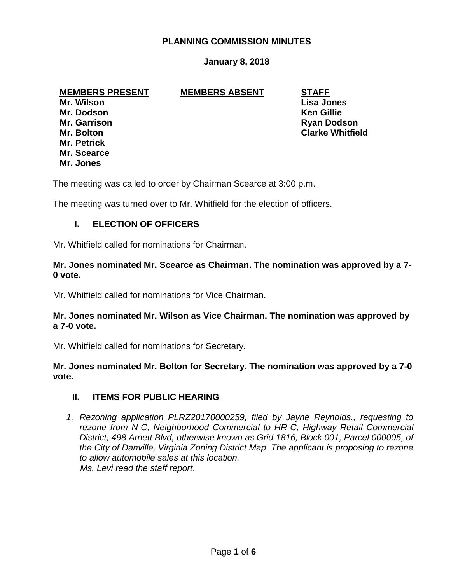# **PLANNING COMMISSION MINUTES**

## **January 8, 2018**

## **MEMBERS PRESENT MEMBERS ABSENT STAFF**

**Mr. Wilson Lisa Jones Mr. Dodson Ken Gillie Mr. Petrick Mr. Scearce Mr. Jones**

**Mr. Garrison Ryan Dodson Mr. Bolton Clarke Whitfield**

The meeting was called to order by Chairman Scearce at 3:00 p.m.

The meeting was turned over to Mr. Whitfield for the election of officers.

## **I. ELECTION OF OFFICERS**

Mr. Whitfield called for nominations for Chairman.

#### **Mr. Jones nominated Mr. Scearce as Chairman. The nomination was approved by a 7- 0 vote.**

Mr. Whitfield called for nominations for Vice Chairman.

## **Mr. Jones nominated Mr. Wilson as Vice Chairman. The nomination was approved by a 7-0 vote.**

Mr. Whitfield called for nominations for Secretary.

**Mr. Jones nominated Mr. Bolton for Secretary. The nomination was approved by a 7-0 vote.**

## **II. ITEMS FOR PUBLIC HEARING**

*1. Rezoning application PLRZ20170000259, filed by Jayne Reynolds., requesting to rezone from N-C, Neighborhood Commercial to HR-C, Highway Retail Commercial District, 498 Arnett Blvd, otherwise known as Grid 1816, Block 001, Parcel 000005, of the City of Danville, Virginia Zoning District Map. The applicant is proposing to rezone to allow automobile sales at this location. Ms. Levi read the staff report*.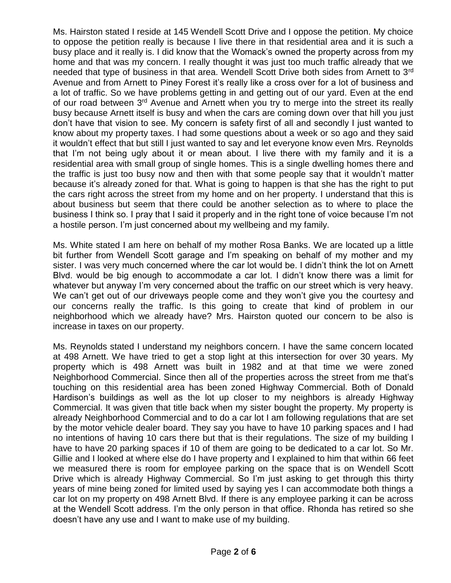Ms. Hairston stated I reside at 145 Wendell Scott Drive and I oppose the petition. My choice to oppose the petition really is because I live there in that residential area and it is such a busy place and it really is. I did know that the Womack's owned the property across from my home and that was my concern. I really thought it was just too much traffic already that we needed that type of business in that area. Wendell Scott Drive both sides from Arnett to 3<sup>rd</sup> Avenue and from Arnett to Piney Forest it's really like a cross over for a lot of business and a lot of traffic. So we have problems getting in and getting out of our yard. Even at the end of our road between 3<sup>rd</sup> Avenue and Arnett when you try to merge into the street its really busy because Arnett itself is busy and when the cars are coming down over that hill you just don't have that vision to see. My concern is safety first of all and secondly I just wanted to know about my property taxes. I had some questions about a week or so ago and they said it wouldn't effect that but still I just wanted to say and let everyone know even Mrs. Reynolds that I'm not being ugly about it or mean about. I live there with my family and it is a residential area with small group of single homes. This is a single dwelling homes there and the traffic is just too busy now and then with that some people say that it wouldn't matter because it's already zoned for that. What is going to happen is that she has the right to put the cars right across the street from my home and on her property. I understand that this is about business but seem that there could be another selection as to where to place the business I think so. I pray that I said it properly and in the right tone of voice because I'm not a hostile person. I'm just concerned about my wellbeing and my family.

Ms. White stated I am here on behalf of my mother Rosa Banks. We are located up a little bit further from Wendell Scott garage and I'm speaking on behalf of my mother and my sister. I was very much concerned where the car lot would be. I didn't think the lot on Arnett Blvd. would be big enough to accommodate a car lot. I didn't know there was a limit for whatever but anyway I'm very concerned about the traffic on our street which is very heavy. We can't get out of our driveways people come and they won't give you the courtesy and our concerns really the traffic. Is this going to create that kind of problem in our neighborhood which we already have? Mrs. Hairston quoted our concern to be also is increase in taxes on our property.

Ms. Reynolds stated I understand my neighbors concern. I have the same concern located at 498 Arnett. We have tried to get a stop light at this intersection for over 30 years. My property which is 498 Arnett was built in 1982 and at that time we were zoned Neighborhood Commercial. Since then all of the properties across the street from me that's touching on this residential area has been zoned Highway Commercial. Both of Donald Hardison's buildings as well as the lot up closer to my neighbors is already Highway Commercial. It was given that title back when my sister bought the property. My property is already Neighborhood Commercial and to do a car lot I am following regulations that are set by the motor vehicle dealer board. They say you have to have 10 parking spaces and I had no intentions of having 10 cars there but that is their regulations. The size of my building I have to have 20 parking spaces if 10 of them are going to be dedicated to a car lot. So Mr. Gillie and I looked at where else do I have property and I explained to him that within 66 feet we measured there is room for employee parking on the space that is on Wendell Scott Drive which is already Highway Commercial. So I'm just asking to get through this thirty years of mine being zoned for limited used by saying yes I can accommodate both things a car lot on my property on 498 Arnett Blvd. If there is any employee parking it can be across at the Wendell Scott address. I'm the only person in that office. Rhonda has retired so she doesn't have any use and I want to make use of my building.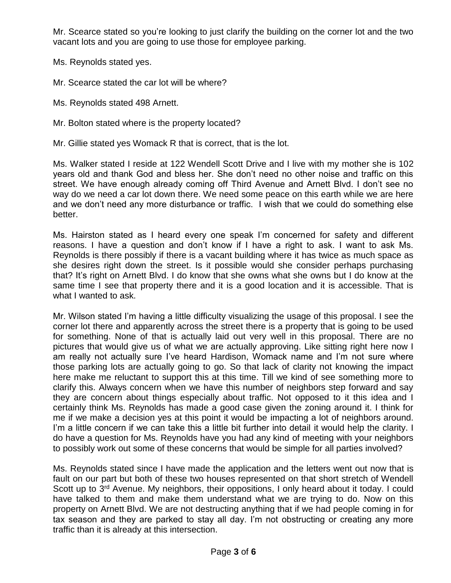Mr. Scearce stated so you're looking to just clarify the building on the corner lot and the two vacant lots and you are going to use those for employee parking.

Ms. Reynolds stated yes.

Mr. Scearce stated the car lot will be where?

Ms. Reynolds stated 498 Arnett.

Mr. Bolton stated where is the property located?

Mr. Gillie stated yes Womack R that is correct, that is the lot.

Ms. Walker stated I reside at 122 Wendell Scott Drive and I live with my mother she is 102 years old and thank God and bless her. She don't need no other noise and traffic on this street. We have enough already coming off Third Avenue and Arnett Blvd. I don't see no way do we need a car lot down there. We need some peace on this earth while we are here and we don't need any more disturbance or traffic. I wish that we could do something else better.

Ms. Hairston stated as I heard every one speak I'm concerned for safety and different reasons. I have a question and don't know if I have a right to ask. I want to ask Ms. Reynolds is there possibly if there is a vacant building where it has twice as much space as she desires right down the street. Is it possible would she consider perhaps purchasing that? It's right on Arnett Blvd. I do know that she owns what she owns but I do know at the same time I see that property there and it is a good location and it is accessible. That is what I wanted to ask.

Mr. Wilson stated I'm having a little difficulty visualizing the usage of this proposal. I see the corner lot there and apparently across the street there is a property that is going to be used for something. None of that is actually laid out very well in this proposal. There are no pictures that would give us of what we are actually approving. Like sitting right here now I am really not actually sure I've heard Hardison, Womack name and I'm not sure where those parking lots are actually going to go. So that lack of clarity not knowing the impact here make me reluctant to support this at this time. Till we kind of see something more to clarify this. Always concern when we have this number of neighbors step forward and say they are concern about things especially about traffic. Not opposed to it this idea and I certainly think Ms. Reynolds has made a good case given the zoning around it. I think for me if we make a decision yes at this point it would be impacting a lot of neighbors around. I'm a little concern if we can take this a little bit further into detail it would help the clarity. I do have a question for Ms. Reynolds have you had any kind of meeting with your neighbors to possibly work out some of these concerns that would be simple for all parties involved?

Ms. Reynolds stated since I have made the application and the letters went out now that is fault on our part but both of these two houses represented on that short stretch of Wendell Scott up to 3<sup>rd</sup> Avenue. My neighbors, their oppositions, I only heard about it today. I could have talked to them and make them understand what we are trying to do. Now on this property on Arnett Blvd. We are not destructing anything that if we had people coming in for tax season and they are parked to stay all day. I'm not obstructing or creating any more traffic than it is already at this intersection.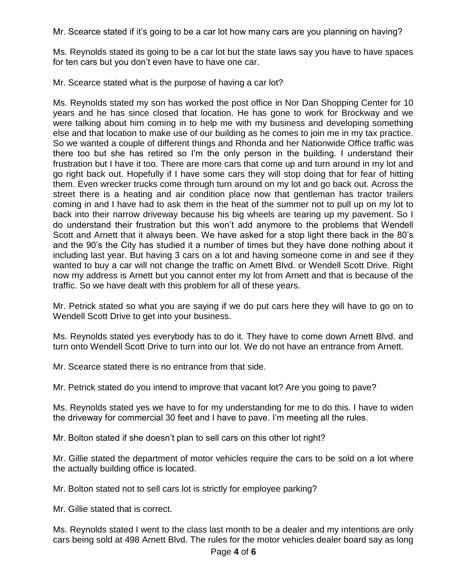Mr. Scearce stated if it's going to be a car lot how many cars are you planning on having?

Ms. Reynolds stated its going to be a car lot but the state laws say you have to have spaces for ten cars but you don't even have to have one car.

Mr. Scearce stated what is the purpose of having a car lot?

Ms. Reynolds stated my son has worked the post office in Nor Dan Shopping Center for 10 years and he has since closed that location. He has gone to work for Brockway and we were talking about him coming in to help me with my business and developing something else and that location to make use of our building as he comes to join me in my tax practice. So we wanted a couple of different things and Rhonda and her Nationwide Office traffic was there too but she has retired so I'm the only person in the building. I understand their frustration but I have it too. There are more cars that come up and turn around in my lot and go right back out. Hopefully if I have some cars they will stop doing that for fear of hitting them. Even wrecker trucks come through turn around on my lot and go back out. Across the street there is a heating and air condition place now that gentleman has tractor trailers coming in and I have had to ask them in the heat of the summer not to pull up on my lot to back into their narrow driveway because his big wheels are tearing up my pavement. So I do understand their frustration but this won't add anymore to the problems that Wendell Scott and Arnett that it always been. We have asked for a stop light there back in the 80's and the 90's the City has studied it a number of times but they have done nothing about it including last year. But having 3 cars on a lot and having someone come in and see if they wanted to buy a car will not change the traffic on Arnett Blvd. or Wendell Scott Drive. Right now my address is Arnett but you cannot enter my lot from Arnett and that is because of the traffic. So we have dealt with this problem for all of these years.

Mr. Petrick stated so what you are saying if we do put cars here they will have to go on to Wendell Scott Drive to get into your business.

Ms. Reynolds stated yes everybody has to do it. They have to come down Arnett Blvd. and turn onto Wendell Scott Drive to turn into our lot. We do not have an entrance from Arnett.

Mr. Scearce stated there is no entrance from that side.

Mr. Petrick stated do you intend to improve that vacant lot? Are you going to pave?

Ms. Reynolds stated yes we have to for my understanding for me to do this. I have to widen the driveway for commercial 30 feet and I have to pave. I'm meeting all the rules.

Mr. Bolton stated if she doesn't plan to sell cars on this other lot right?

Mr. Gillie stated the department of motor vehicles require the cars to be sold on a lot where the actually building office is located.

Mr. Bolton stated not to sell cars lot is strictly for employee parking?

Mr. Gillie stated that is correct.

Ms. Reynolds stated I went to the class last month to be a dealer and my intentions are only cars being sold at 498 Arnett Blvd. The rules for the motor vehicles dealer board say as long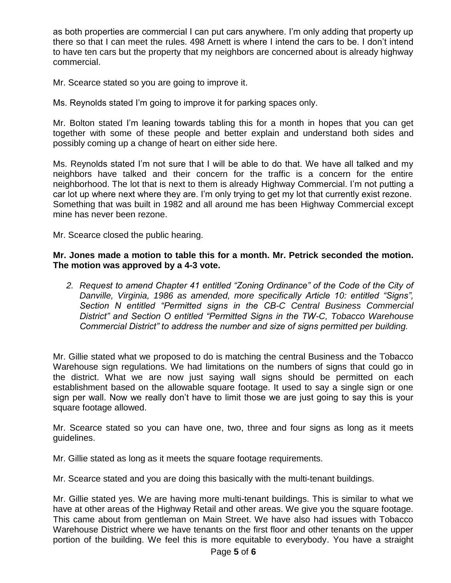as both properties are commercial I can put cars anywhere. I'm only adding that property up there so that I can meet the rules. 498 Arnett is where I intend the cars to be. I don't intend to have ten cars but the property that my neighbors are concerned about is already highway commercial.

Mr. Scearce stated so you are going to improve it.

Ms. Reynolds stated I'm going to improve it for parking spaces only.

Mr. Bolton stated I'm leaning towards tabling this for a month in hopes that you can get together with some of these people and better explain and understand both sides and possibly coming up a change of heart on either side here.

Ms. Reynolds stated I'm not sure that I will be able to do that. We have all talked and my neighbors have talked and their concern for the traffic is a concern for the entire neighborhood. The lot that is next to them is already Highway Commercial. I'm not putting a car lot up where next where they are. I'm only trying to get my lot that currently exist rezone. Something that was built in 1982 and all around me has been Highway Commercial except mine has never been rezone.

Mr. Scearce closed the public hearing.

#### **Mr. Jones made a motion to table this for a month. Mr. Petrick seconded the motion. The motion was approved by a 4-3 vote.**

*2. Request to amend Chapter 41 entitled "Zoning Ordinance" of the Code of the City of Danville, Virginia, 1986 as amended, more specifically Article 10: entitled "Signs", Section N entitled "Permitted signs in the CB-C Central Business Commercial District" and Section O entitled "Permitted Signs in the TW-C, Tobacco Warehouse Commercial District" to address the number and size of signs permitted per building.*

Mr. Gillie stated what we proposed to do is matching the central Business and the Tobacco Warehouse sign regulations. We had limitations on the numbers of signs that could go in the district. What we are now just saying wall signs should be permitted on each establishment based on the allowable square footage. It used to say a single sign or one sign per wall. Now we really don't have to limit those we are just going to say this is your square footage allowed.

Mr. Scearce stated so you can have one, two, three and four signs as long as it meets guidelines.

Mr. Gillie stated as long as it meets the square footage requirements.

Mr. Scearce stated and you are doing this basically with the multi-tenant buildings.

Mr. Gillie stated yes. We are having more multi-tenant buildings. This is similar to what we have at other areas of the Highway Retail and other areas. We give you the square footage. This came about from gentleman on Main Street. We have also had issues with Tobacco Warehouse District where we have tenants on the first floor and other tenants on the upper portion of the building. We feel this is more equitable to everybody. You have a straight